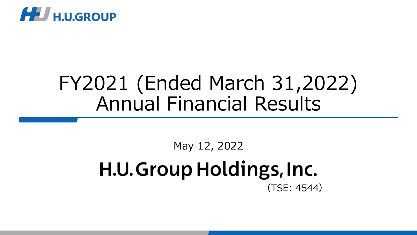

# FY2021 (Ended March 31,2022) Annual Financial Results

### May 12, 2022 H.U. Group Holdings, Inc. (TSE: 4544)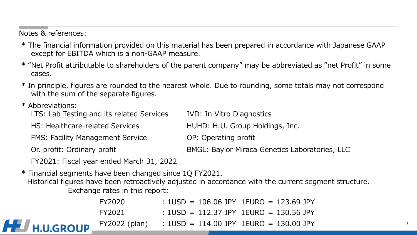#### Notes & references:

- \* The financial information provided on this material has been prepared in accordance with Japanese GAAP except for EBITDA which is a non-GAAP measure.
- \* "Net Profit attributable to shareholders of the parent company" may be abbreviated as "net Profit" in some cases.
- \* In principle, figures are rounded to the nearest whole. Due to rounding, some totals may not correspond with the sum of the separate figures.
- \* Abbreviations:

| LTS: Lab Testing and its related Services | <b>IVD: In Vitro Diagnostics</b>               |
|-------------------------------------------|------------------------------------------------|
| HS: Healthcare-related Services           | HUHD: H.U. Group Holdings, Inc.                |
| <b>FMS: Facility Management Service</b>   | OP: Operating profit                           |
| Or. profit: Ordinary profit               | BMGL: Baylor Miraca Genetics Laboratories, LLC |
| FY2021: Fiscal year ended March 31, 2022  |                                                |

\* Financial segments have been changed since 1Q FY2021.

Exchange rates in this report: Historical figures have been retroactively adjusted in accordance with the current segment structure.

|                  | FY2020 | $: 1USD = 106.06$ JPY 1EURO = 123.69 JPY                   |
|------------------|--------|------------------------------------------------------------|
|                  | FY2021 | $: 1USD = 112.37$ JPY 1EURO = 130.56 JPY                   |
| <b>H.U.GROUP</b> |        | $FY2022$ (plan) : $1USD = 114.00$ JPY $1EURO = 130.00$ JPY |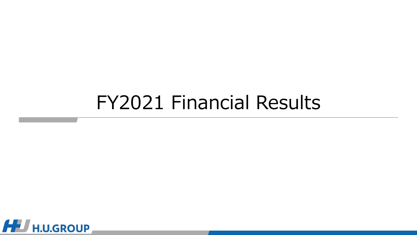# FY2021 Financial Results

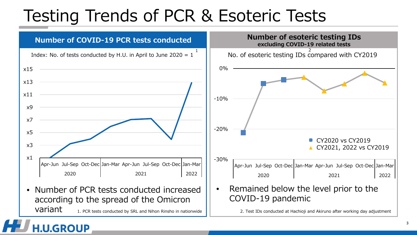## Testing Trends of PCR & Esoteric Tests

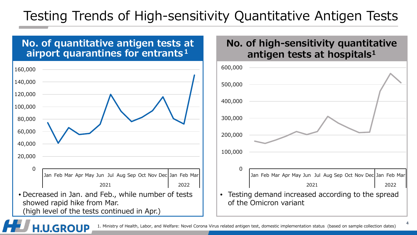#### Testing Trends of High-sensitivity Quantitative Antigen Tests

#### **No. of quantitative antigen tests at airport quarantines for entrants<sup>1</sup>**



#### **No. of high-sensitivity quantitative antigen tests at hospitals1**

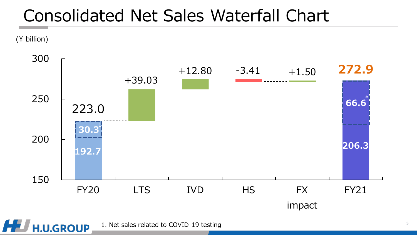### Consolidated Net Sales Waterfall Chart

(¥ billion)



1. Net sales related to COVID-19 testing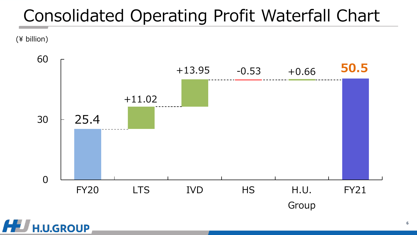### Consolidated Operating Profit Waterfall Chart

(¥ billion)

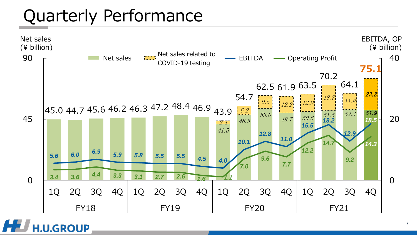## Quarterly Performance

**H.U.GROUP** 

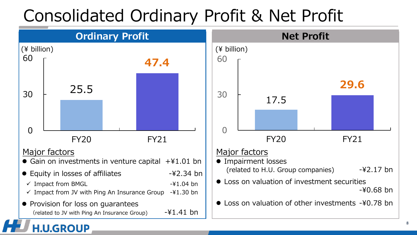# Consolidated Ordinary Profit & Net Profit

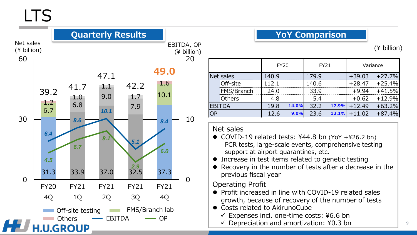### LTS



#### **YoY Comparison**

(¥ billion)

|               | <b>FY20</b> |      | <b>FY21</b> |       | Variance |                |
|---------------|-------------|------|-------------|-------|----------|----------------|
| Net sales     | 140.9       |      | 179.9       |       | $+39.03$ | $+27.7%$       |
| Off-site      | 112.1       |      | 140.6       |       | $+28.47$ | $+25.4%$       |
| FMS/Branch    | 24.0        |      | 33.9        |       | $+9.94$  | $+41.5%$       |
| Others        | 4.8         |      | 5.4         |       | $+0.62$  | $+12.9%$       |
| <b>EBITDA</b> | 19.8        |      | 32.2        |       | $+12.49$ | $+63.2%$       |
|               | 12.6        | 9.0% | 23.6        |       | $+11.02$ | $+87.4%$       |
|               |             |      |             | 14.0% |          | 17.9%<br>13.1% |

#### Net sales

- COVID-19 related tests: ¥44.8 bn (YoY +¥26.2 bn) PCR tests, large-scale events, comprehensive testing support at airport quarantines, etc.
- Increase in test items related to genetic testing
- Recovery in the number of tests after a decrease in the previous fiscal year

#### Operating Profit

- Profit increased in line with COVID-19 related sales growth, because of recovery of the number of tests
- Costs related to AkirunoCube
	- $\checkmark$  Expenses incl. one-time costs: ¥6.6 bn
	- $\checkmark$  Depreciation and amortization: ¥0.3 bn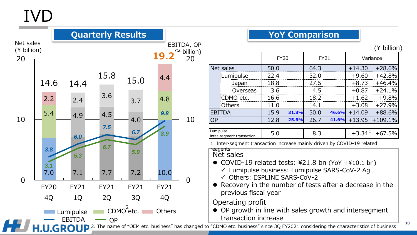# IVD

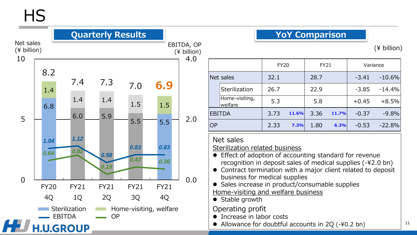HS

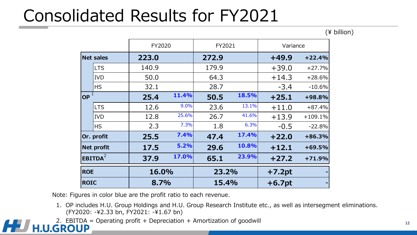### Consolidated Results for FY2021

(¥ billion)

|                     |            | FY2020 |       | FY2021 |       | Variance |           |
|---------------------|------------|--------|-------|--------|-------|----------|-----------|
| <b>Net sales</b>    |            | 223.0  |       | 272.9  |       | $+49.9$  | $+22.4%$  |
|                     | <b>LTS</b> | 140.9  |       | 179.9  |       | $+39.0$  | $+27.7%$  |
|                     | <b>IVD</b> | 50.0   |       | 64.3   |       | $+14.3$  | $+28.6%$  |
|                     | <b>HS</b>  | 32.1   |       | 28.7   |       | $-3.4$   | $-10.6%$  |
| $\overline{OP}^1$   |            | 25.4   | 11.4% | 50.5   | 18.5% | $+25.1$  | +98.8%    |
|                     | <b>LTS</b> | 12.6   | 9.0%  | 23.6   | 13.1% | $+11.0$  | $+87.4%$  |
|                     | <b>IVD</b> | 12.8   | 25.6% | 26.7   | 41.6% | $+13.9$  | $+109.1%$ |
|                     | <b>HS</b>  | 2.3    | 7.3%  | 1.8    | 6.3%  | $-0.5$   | $-22.8%$  |
|                     | Or. profit | 25.5   | 7.4%  | 47.4   | 17.4% | $+22.0$  | $+86.3%$  |
| <b>Net profit</b>   |            | 17.5   | 5.2%  | 29.6   | 10.8% | $+12.1$  | $+69.5%$  |
| EBITDA <sup>2</sup> |            | 37.9   | 17.0% | 65.1   | 23.9% | $+27.2$  | $+71.9%$  |
| <b>ROE</b>          |            | 16.0%  |       | 23.2%  |       | $+7.2pt$ |           |
| <b>ROIC</b>         |            | 8.7%   |       | 15.4%  |       | $+6.7pt$ |           |

Note: Figures in color blue are the profit ratio to each revenue.

- 1. OP includes H.U. Group Holdings and H.U. Group Research Institute etc., as well as intersegment eliminations. (FY2020: -¥2.33 bn, FY2021: -¥1.67 bn)
- 2. EBITDA = Operating profit + Depreciation + Amortization of goodwill  $H.U.GROUP$

HE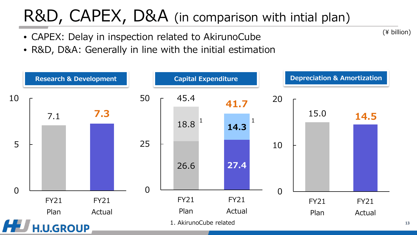## R&D, CAPEX, D&A (in comparison with intial plan)

- CAPEX: Delay in inspection related to AkirunoCube
- R&D, D&A: Generally in line with the initial estimation



(¥ billion)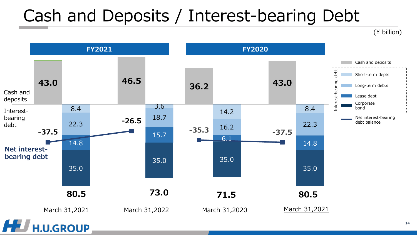### Cash and Deposits / Interest-bearing Debt

(¥ billion)

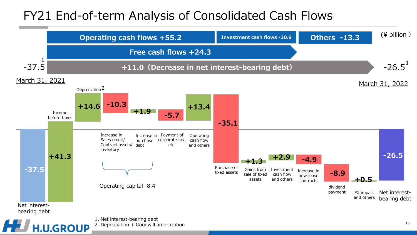#### FY21 End-of-term Analysis of Consolidated Cash Flows

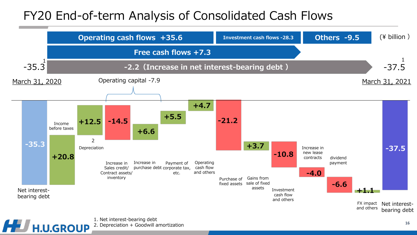#### FY20 End-of-term Analysis of Consolidated Cash Flows

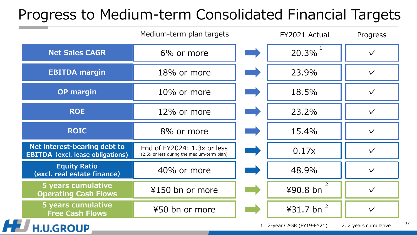#### Progress to Medium-term Consolidated Financial Targets

|                                                                         | Medium-term plan targets                                                  | FY2021 Actual              | Progress              |
|-------------------------------------------------------------------------|---------------------------------------------------------------------------|----------------------------|-----------------------|
| <b>Net Sales CAGR</b>                                                   | 6% or more                                                                | 20.3%                      | $\checkmark$          |
| <b>EBITDA margin</b>                                                    | 18% or more                                                               | 23.9%                      | $\sqrt{}$             |
| <b>OP margin</b>                                                        | 10% or more                                                               | 18.5%                      | $\sqrt{}$             |
| <b>ROE</b>                                                              | 12% or more                                                               | 23.2%                      | $\checkmark$          |
| <b>ROIC</b>                                                             | 8% or more                                                                | 15.4%                      | $\checkmark$          |
| Net interest-bearing debt to<br><b>EBITDA</b> (excl. lease obligations) | End of FY2024: 1.3x or less<br>(2.5x or less during the medium-term plan) | 0.17x                      | $\sqrt{}$             |
| <b>Equity Ratio</b><br>(excl. real estate finance)                      | 40% or more                                                               | 48.9%                      | $\sqrt{}$             |
| 5 years cumulative<br><b>Operating Cash Flows</b>                       | ¥150 bn or more                                                           | ¥90.8 bn                   | $\sqrt{}$             |
| 5 years cumulative<br><b>Free Cash Flows</b>                            | ¥50 bn or more                                                            | ¥31.7 bn $^{2}$            | $\vee$                |
| <b>.U.GROUP</b>                                                         |                                                                           | 1. 2-year CAGR (FY19-FY21) | 2. 2 years cumulative |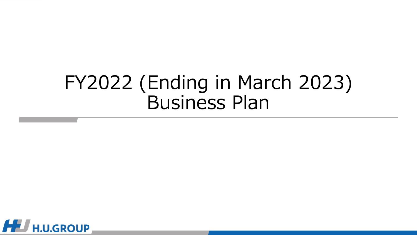# FY2022 (Ending in March 2023) Business Plan

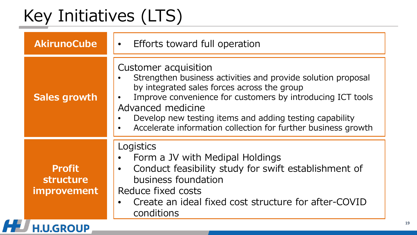# Key Initiatives (LTS)

H

| <b>AkirunoCube</b>                               | Efforts toward full operation<br>$\bullet$                                                                                                                                                                                                                                                                                                         |
|--------------------------------------------------|----------------------------------------------------------------------------------------------------------------------------------------------------------------------------------------------------------------------------------------------------------------------------------------------------------------------------------------------------|
| <b>Sales growth</b>                              | Customer acquisition<br>Strengthen business activities and provide solution proposal<br>by integrated sales forces across the group<br>Improve convenience for customers by introducing ICT tools<br>Advanced medicine<br>Develop new testing items and adding testing capability<br>Accelerate information collection for further business growth |
| <b>Profit</b><br>structure<br><i>improvement</i> | Logistics<br>Form a JV with Medipal Holdings<br>Conduct feasibility study for swift establishment of<br>$\bullet$<br>business foundation<br>Reduce fixed costs<br>Create an ideal fixed cost structure for after-COVID<br>conditions                                                                                                               |
| <b>H.U.GROUP</b>                                 |                                                                                                                                                                                                                                                                                                                                                    |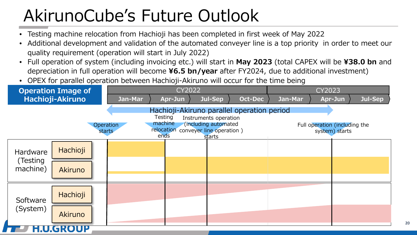# AkirunoCube's Future Outlook

- Testing machine relocation from Hachioji has been completed in first week of May 2022
- Additional development and validation of the automated conveyer line is a top priority in order to meet our quality requirement (operation will start in July 2022)
- Full operation of system (including invoicing etc.) will start in **May 2023** (total CAPEX will be **¥38.0 bn** and depreciation in full operation will become **¥6.5 bn/year** after FY2024, due to additional investment)
- OPEX for parallel operation between Hachioji-Akiruno will occur for the time being

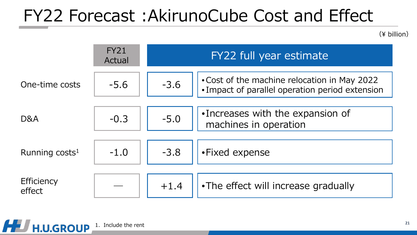## FY22 Forecast :AkirunoCube Cost and Effect

(¥ billion)

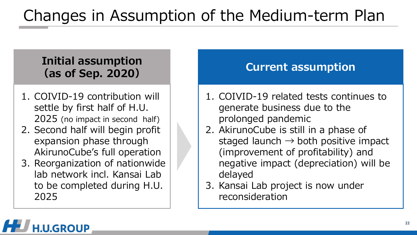### Changes in Assumption of the Medium-term Plan

#### **Initial assumption (as of Sep. 2020) Current assumption**

- 1. COIVID-19 contribution will settle by first half of H.U. 2025 (no impact in second half)
- 2. Second half will begin profit expansion phase through AkirunoCube's full operation
- 3. Reorganization of nationwide lab network incl. Kansai Lab to be completed during H.U. 2025

- 1. COIVID-19 related tests continues to generate business due to the prolonged pandemic
- 2. AkirunoCube is still in a phase of staged launch  $\rightarrow$  both positive impact (improvement of profitability) and negative impact (depreciation) will be delayed
- 3. Kansai Lab project is now under reconsideration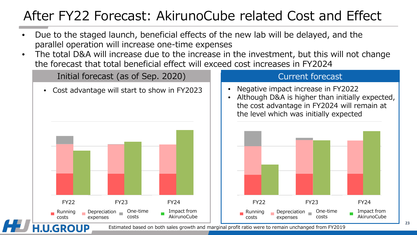#### After FY22 Forecast: AkirunoCube related Cost and Effect

- Due to the staged launch, beneficial effects of the new lab will be delayed, and the parallel operation will increase one-time expenses
- The total D&A will increase due to the increase in the investment, but this will not change the forecast that total beneficial effect will exceed cost increases in FY2024



Estimated based on both sales growth and marginal profit ratio were to remain unchanged from FY2019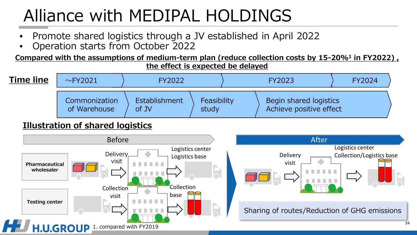# Alliance with MEDIPAL HOLDINGS

- Promote shared logistics through a JV established in April 2022
- Operation starts from October 2022

**Compared with the assumptions of medium-term plan (reduce collection costs by 15-20%1 in FY2022) , the effect is expected be delayed**



#### **Illustration of shared logistics**





Sharing of routes/Reduction of GHG emissions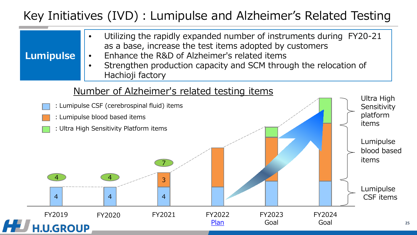#### Key Initiatives (IVD): Lumipulse and Alzheimer's Related Testing

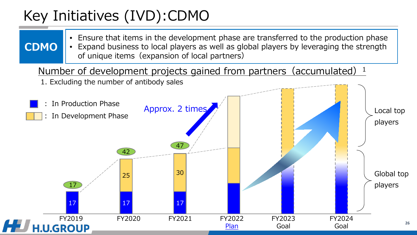#### Key Initiatives (IVD):CDMO

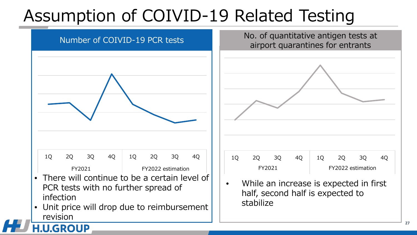# Assumption of COIVID-19 Related Testing

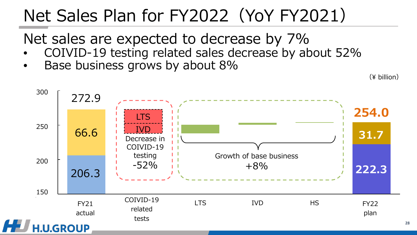# Net Sales Plan for FY2022(YoY FY2021)

Net sales are expected to decrease by 7%

- COIVID-19 testing related sales decrease by about 52%
- Base business grows by about 8%

(¥ billion)

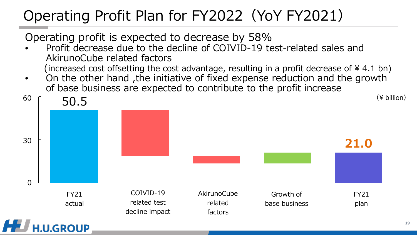#### Operating Profit Plan for FY2022(YoY FY2021)

Operating profit is expected to decrease by 58%

**U.GROUP** 

- Profit decrease due to the decline of COIVID-19 test-related sales and AkirunoCube related factors (increased cost offsetting the cost advantage, resulting in a profit decrease of ¥ 4.1 bn)
- On the other hand ,the initiative of fixed expense reduction and the growth of base business are expected to contribute to the profit increase

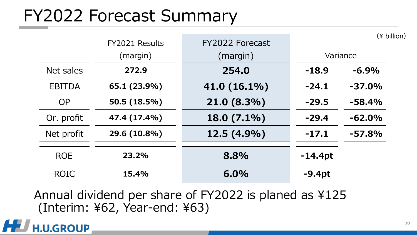### FY2022 Forecast Summary

|               | FY2021 Results | FY2022 Forecast |           | $(*)$ billion) |
|---------------|----------------|-----------------|-----------|----------------|
|               | (margin)       | (margin)        |           | Variance       |
| Net sales     | 272.9          | 254.0           | $-18.9$   | $-6.9%$        |
| <b>EBITDA</b> | 65.1 (23.9%)   | 41.0 (16.1%)    | $-24.1$   | $-37.0%$       |
| <b>OP</b>     | 50.5 (18.5%)   | 21.0 (8.3%)     | $-29.5$   | $-58.4%$       |
| Or. profit    | 47.4 (17.4%)   | 18.0 (7.1%)     | $-29.4$   | $-62.0%$       |
| Net profit    | 29.6 (10.8%)   | 12.5 (4.9%)     | $-17.1$   | $-57.8%$       |
| <b>ROE</b>    | 23.2%          | 8.8%            | $-14.4pt$ |                |
| <b>ROIC</b>   | 15.4%          | 6.0%            | $-9.4pt$  |                |

Annual dividend per share of FY2022 is planed as ¥125 (Interim: ¥62, Year-end: ¥63)

#### **.U.GROUP**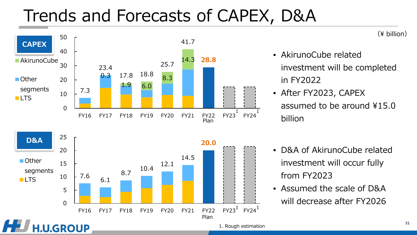## Trends and Forecasts of CAPEX, D&A



(¥ billion)

- AkirunoCube related investment will be completed in FY2022
- After FY2023, CAPEX assumed to be around ¥15.0 billion
- D&A of AkirunoCube related investment will occur fully from FY2023
- Assumed the scale of D&A will decrease after FY2026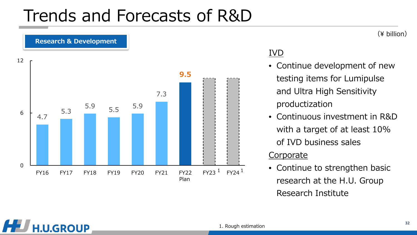### Trends and Forecasts of R&D



#### IVD

- Continue development of new testing items for Lumipulse and Ultra High Sensitivity productization
- Continuous investment in R&D with a target of at least 10% of IVD business sales

#### **Corporate**

• Continue to strengthen basic research at the H.U. Group Research Institute

#### (¥ billion)